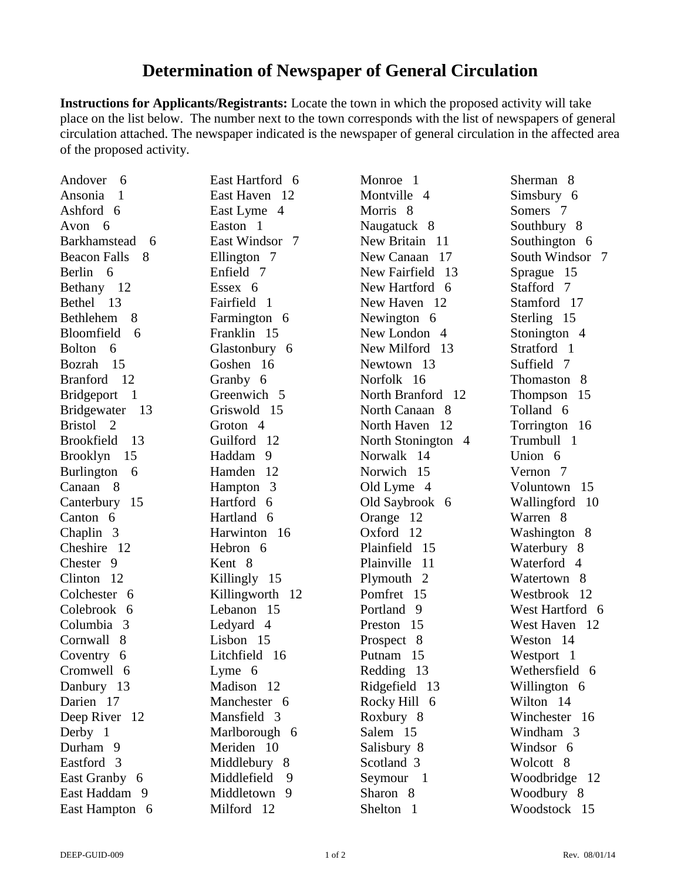## **Determination of Newspaper of General Circulation**

**Instructions for Applicants/Registrants:** Locate the town in which the proposed activity will take place on the list below. The number next to the town corresponds with the list of newspapers of general circulation attached. The newspaper indicated is the newspaper of general circulation in the affected area of the proposed activity.

| Andover<br>- 6            | East Hartford 6  | Monroe 1              | Sherman 8        |
|---------------------------|------------------|-----------------------|------------------|
| Ansonia<br>$\mathbf 1$    | East Haven 12    | Montville 4           | Simsbury 6       |
| Ashford 6                 | East Lyme 4      | Morris <sub>8</sub>   | Somers 7         |
| Avon 6                    | Easton 1         | Naugatuck 8           | Southbury 8      |
| Barkhamstead<br>6         | East Windsor 7   | New Britain 11        | Southington 6    |
| <b>Beacon Falls</b><br>8  | Ellington 7      | New Canaan 17         | South Windsor 7  |
| Berlin 6                  | Enfield 7        | New Fairfield 13      | Sprague 15       |
| Bethany 12                | Essex 6          | New Hartford 6        | Stafford 7       |
| Bethel 13                 | Fairfield 1      | New Haven 12          | Stamford 17      |
| 8<br><b>Bethlehem</b>     | Farmington 6     | Newington 6           | Sterling 15      |
| Bloomfield<br>6           | Franklin 15      | New London 4          | Stonington 4     |
| Bolton 6                  | Glastonbury 6    | New Milford 13        | Stratford 1      |
| Bozrah<br>-15             | Goshen 16        | Newtown 13            | Suffield 7       |
| <b>Branford</b><br>-12    | Granby 6         | Norfolk 16            | Thomaston 8      |
| Bridgeport 1              | Greenwich 5      | North Branford 12     | Thompson<br>15   |
| Bridgewater 13            | Griswold 15      | North Canaan 8        | Tolland 6        |
| Bristol 2                 | Groton 4         | North Haven 12        | Torrington 16    |
| <b>Brookfield</b><br>- 13 | Guilford 12      | North Stonington 4    | Trumbull 1       |
| Brooklyn 15               | Haddam 9         | Norwalk 14            | Union 6          |
| Burlington 6              | Hamden 12        | Norwich 15            | Vernon 7         |
| Canaan 8                  | Hampton 3        | Old Lyme 4            | Voluntown<br>15  |
| Canterbury 15             | Hartford 6       | Old Saybrook 6        | Wallingford 10   |
| Canton 6                  | Hartland 6       | Orange 12             | Warren 8         |
| Chaplin 3                 | Harwinton 16     | Oxford 12             | Washington 8     |
| Cheshire 12               | Hebron 6         | Plainfield 15         | Waterbury 8      |
| Chester 9                 | Kent 8           | Plainville<br>-11     | Waterford 4      |
| Clinton 12                | Killingly 15     | Plymouth 2            | Watertown 8      |
| Colchester 6              | Killingworth 12  | Pomfret 15            | Westbrook<br>-12 |
| Colebrook 6               | Lebanon 15       | Portland <sub>9</sub> | West Hartford 6  |
| Columbia 3                | Ledyard 4        | Preston 15            | West Haven 12    |
| Cornwall 8                | Lisbon 15        | Prospect 8            | Weston 14        |
| Coventry 6                | Litchfield 16    | Putnam 15             | Westport 1       |
| Cromwell 6                | Lyme 6           | Redding 13            | Wethersfield 6   |
| Danbury 13                | Madison 12       | Ridgefield 13         | Willington 6     |
| Darien 17                 | Manchester 6     | Rocky Hill 6          | Wilton 14        |
| Deep River 12             | Mansfield 3      | Roxbury 8             | Winchester 16    |
| Derby 1                   | Marlborough 6    | Salem 15              | Windham 3        |
| Durham 9                  | Meriden 10       | Salisbury 8           | Windsor 6        |
| Eastford 3                | Middlebury 8     | Scotland 3            | Wolcott 8        |
| East Granby 6             | Middlefield<br>9 | Seymour 1             | Woodbridge 12    |
| East Haddam 9             | Middletown 9     | Sharon 8              | Woodbury 8       |
| East Hampton 6            | Milford 12       | Shelton 1             | Woodstock 15     |